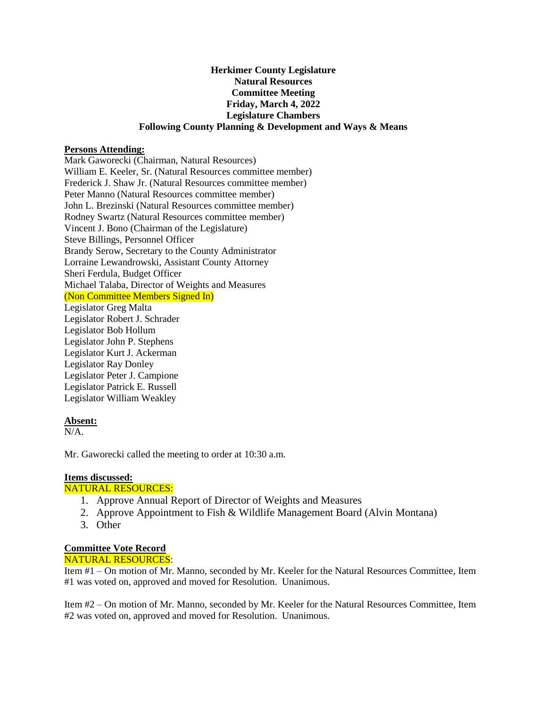# **Herkimer County Legislature Natural Resources Committee Meeting Friday, March 4, 2022 Legislature Chambers Following County Planning & Development and Ways & Means**

#### **Persons Attending:**

Mark Gaworecki (Chairman, Natural Resources) William E. Keeler, Sr. (Natural Resources committee member) Frederick J. Shaw Jr. (Natural Resources committee member) Peter Manno (Natural Resources committee member) John L. Brezinski (Natural Resources committee member) Rodney Swartz (Natural Resources committee member) Vincent J. Bono (Chairman of the Legislature) Steve Billings, Personnel Officer Brandy Serow, Secretary to the County Administrator Lorraine Lewandrowski, Assistant County Attorney Sheri Ferdula, Budget Officer Michael Talaba, Director of Weights and Measures (Non Committee Members Signed In) Legislator Greg Malta Legislator Robert J. Schrader Legislator Bob Hollum Legislator John P. Stephens Legislator Kurt J. Ackerman Legislator Ray Donley Legislator Peter J. Campione

Legislator Patrick E. Russell Legislator William Weakley

#### **Absent:**

 $N/A$ .

Mr. Gaworecki called the meeting to order at 10:30 a.m.

# **Items discussed:**

# NATURAL RESOURCES:

- 1. Approve Annual Report of Director of Weights and Measures
- 2. Approve Appointment to Fish & Wildlife Management Board (Alvin Montana)
- 3. Other

#### **Committee Vote Record** NATURAL RESOURCES:

Item #1 – On motion of Mr. Manno, seconded by Mr. Keeler for the Natural Resources Committee, Item #1 was voted on, approved and moved for Resolution. Unanimous.

Item #2 – On motion of Mr. Manno, seconded by Mr. Keeler for the Natural Resources Committee, Item #2 was voted on, approved and moved for Resolution. Unanimous.